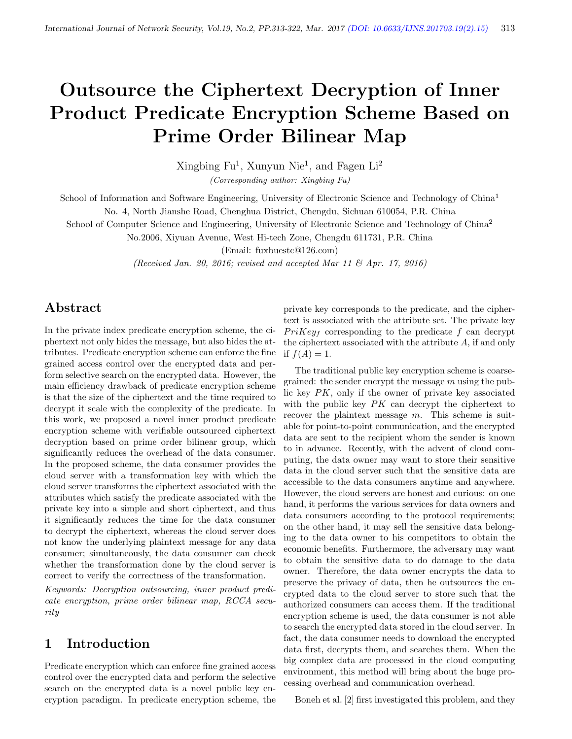# Outsource the Ciphertext Decryption of Inner Product Predicate Encryption Scheme Based on Prime Order Bilinear Map

Xingbing Fu<sup>1</sup>, Xunyun Nie<sup>1</sup>, and Fagen Li<sup>2</sup> (Corresponding author: Xingbing Fu)

School of Information and Software Engineering, University of Electronic Science and Technology of China<sup>1</sup>

No. 4, North Jianshe Road, Chenghua District, Chengdu, Sichuan 610054, P.R. China

School of Computer Science and Engineering, University of Electronic Science and Technology of China<sup>2</sup>

No.2006, Xiyuan Avenue, West Hi-tech Zone, Chengdu 611731, P.R. China

(Email: fuxbuestc@126.com)

(Received Jan. 20, 2016; revised and accepted Mar 11  $\mathcal{O}$  Apr. 17, 2016)

# Abstract

In the private index predicate encryption scheme, the ciphertext not only hides the message, but also hides the attributes. Predicate encryption scheme can enforce the fine grained access control over the encrypted data and perform selective search on the encrypted data. However, the main efficiency drawback of predicate encryption scheme is that the size of the ciphertext and the time required to decrypt it scale with the complexity of the predicate. In this work, we proposed a novel inner product predicate encryption scheme with verifiable outsourced ciphertext decryption based on prime order bilinear group, which significantly reduces the overhead of the data consumer. In the proposed scheme, the data consumer provides the cloud server with a transformation key with which the cloud server transforms the ciphertext associated with the attributes which satisfy the predicate associated with the private key into a simple and short ciphertext, and thus it significantly reduces the time for the data consumer to decrypt the ciphertext, whereas the cloud server does not know the underlying plaintext message for any data consumer; simultaneously, the data consumer can check whether the transformation done by the cloud server is correct to verify the correctness of the transformation.

Keywords: Decryption outsourcing, inner product predicate encryption, prime order bilinear map, RCCA security

## 1 Introduction

Predicate encryption which can enforce fine grained access control over the encrypted data and perform the selective search on the encrypted data is a novel public key encryption paradigm. In predicate encryption scheme, the

private key corresponds to the predicate, and the ciphertext is associated with the attribute set. The private key  $Prikey<sub>f</sub>$  corresponding to the predicate f can decrypt the ciphertext associated with the attribute A, if and only if  $f(A) = 1$ .

The traditional public key encryption scheme is coarsegrained: the sender encrypt the message  $m$  using the public key PK, only if the owner of private key associated with the public key  $PK$  can decrypt the ciphertext to recover the plaintext message  $m$ . This scheme is suitable for point-to-point communication, and the encrypted data are sent to the recipient whom the sender is known to in advance. Recently, with the advent of cloud computing, the data owner may want to store their sensitive data in the cloud server such that the sensitive data are accessible to the data consumers anytime and anywhere. However, the cloud servers are honest and curious: on one hand, it performs the various services for data owners and data consumers according to the protocol requirements; on the other hand, it may sell the sensitive data belonging to the data owner to his competitors to obtain the economic benefits. Furthermore, the adversary may want to obtain the sensitive data to do damage to the data owner. Therefore, the data owner encrypts the data to preserve the privacy of data, then he outsources the encrypted data to the cloud server to store such that the authorized consumers can access them. If the traditional encryption scheme is used, the data consumer is not able to search the encrypted data stored in the cloud server. In fact, the data consumer needs to download the encrypted data first, decrypts them, and searches them. When the big complex data are processed in the cloud computing environment, this method will bring about the huge processing overhead and communication overhead.

Boneh et al. [2] first investigated this problem, and they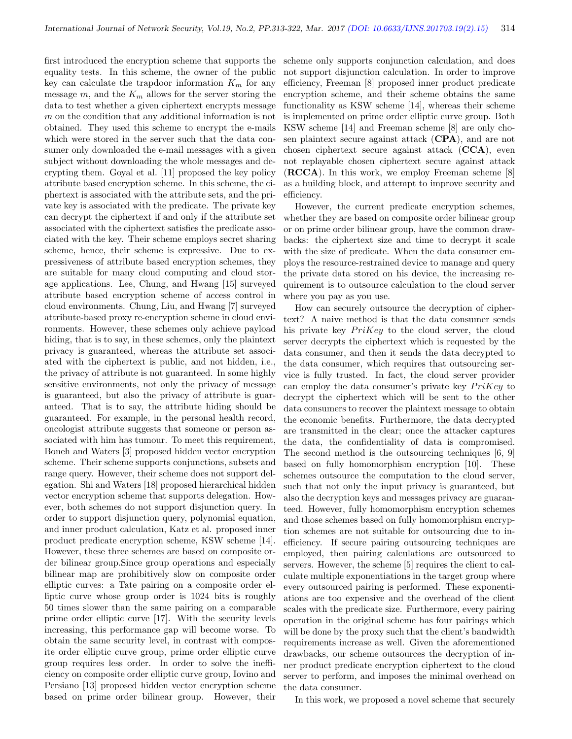first introduced the encryption scheme that supports the equality tests. In this scheme, the owner of the public key can calculate the trapdoor information  $K_m$  for any message  $m$ , and the  $K_m$  allows for the server storing the data to test whether a given ciphertext encrypts message m on the condition that any additional information is not obtained. They used this scheme to encrypt the e-mails which were stored in the server such that the data consumer only downloaded the e-mail messages with a given subject without downloading the whole messages and decrypting them. Goyal et al. [11] proposed the key policy attribute based encryption scheme. In this scheme, the ciphertext is associated with the attribute sets, and the private key is associated with the predicate. The private key can decrypt the ciphertext if and only if the attribute set associated with the ciphertext satisfies the predicate associated with the key. Their scheme employs secret sharing scheme, hence, their scheme is expressive. Due to expressiveness of attribute based encryption schemes, they are suitable for many cloud computing and cloud storage applications. Lee, Chung, and Hwang [15] surveyed attribute based encryption scheme of access control in cloud environments. Chung, Liu, and Hwang [7] surveyed attribute-based proxy re-encryption scheme in cloud environments. However, these schemes only achieve payload hiding, that is to say, in these schemes, only the plaintext privacy is guaranteed, whereas the attribute set associated with the ciphertext is public, and not hidden, i.e., the privacy of attribute is not guaranteed. In some highly sensitive environments, not only the privacy of message is guaranteed, but also the privacy of attribute is guaranteed. That is to say, the attribute hiding should be guaranteed. For example, in the personal health record, oncologist attribute suggests that someone or person associated with him has tumour. To meet this requirement, Boneh and Waters [3] proposed hidden vector encryption scheme. Their scheme supports conjunctions, subsets and range query. However, their scheme does not support delegation. Shi and Waters [18] proposed hierarchical hidden vector encryption scheme that supports delegation. However, both schemes do not support disjunction query. In order to support disjunction query, polynomial equation, and inner product calculation, Katz et al. proposed inner product predicate encryption scheme, KSW scheme [14]. However, these three schemes are based on composite order bilinear group.Since group operations and especially bilinear map are prohibitively slow on composite order elliptic curves: a Tate pairing on a composite order elliptic curve whose group order is 1024 bits is roughly 50 times slower than the same pairing on a comparable prime order elliptic curve [17]. With the security levels increasing, this performance gap will become worse. To obtain the same security level, in contrast with composite order elliptic curve group, prime order elliptic curve group requires less order. In order to solve the inefficiency on composite order elliptic curve group, Iovino and Persiano [13] proposed hidden vector encryption scheme based on prime order bilinear group. However, their

scheme only supports conjunction calculation, and does not support disjunction calculation. In order to improve efficiency, Freeman [8] proposed inner product predicate encryption scheme, and their scheme obtains the same functionality as KSW scheme [14], whereas their scheme is implemented on prime order elliptic curve group. Both KSW scheme [14] and Freeman scheme [8] are only chosen plaintext secure against attack (CPA), and are not chosen ciphertext secure against attack (CCA), even not replayable chosen ciphertext secure against attack (RCCA). In this work, we employ Freeman scheme [8] as a building block, and attempt to improve security and efficiency.

However, the current predicate encryption schemes, whether they are based on composite order bilinear group or on prime order bilinear group, have the common drawbacks: the ciphertext size and time to decrypt it scale with the size of predicate. When the data consumer employs the resource-restrained device to manage and query the private data stored on his device, the increasing requirement is to outsource calculation to the cloud server where you pay as you use.

How can securely outsource the decryption of ciphertext? A naive method is that the data consumer sends his private key  $PriKey$  to the cloud server, the cloud server decrypts the ciphertext which is requested by the data consumer, and then it sends the data decrypted to the data consumer, which requires that outsourcing service is fully trusted. In fact, the cloud server provider can employ the data consumer's private key  $PriKey$  to decrypt the ciphertext which will be sent to the other data consumers to recover the plaintext message to obtain the economic benefits. Furthermore, the data decrypted are transmitted in the clear; once the attacker captures the data, the confidentiality of data is compromised. The second method is the outsourcing techniques [6, 9] based on fully homomorphism encryption [10]. These schemes outsource the computation to the cloud server, such that not only the input privacy is guaranteed, but also the decryption keys and messages privacy are guaranteed. However, fully homomorphism encryption schemes and those schemes based on fully homomorphism encryption schemes are not suitable for outsourcing due to inefficiency. If secure pairing outsourcing techniques are employed, then pairing calculations are outsourced to servers. However, the scheme [5] requires the client to calculate multiple exponentiations in the target group where every outsourced pairing is performed. These exponentiations are too expensive and the overhead of the client scales with the predicate size. Furthermore, every pairing operation in the original scheme has four pairings which will be done by the proxy such that the client's bandwidth requirements increase as well. Given the aforementioned drawbacks, our scheme outsources the decryption of inner product predicate encryption ciphertext to the cloud server to perform, and imposes the minimal overhead on the data consumer.

In this work, we proposed a novel scheme that securely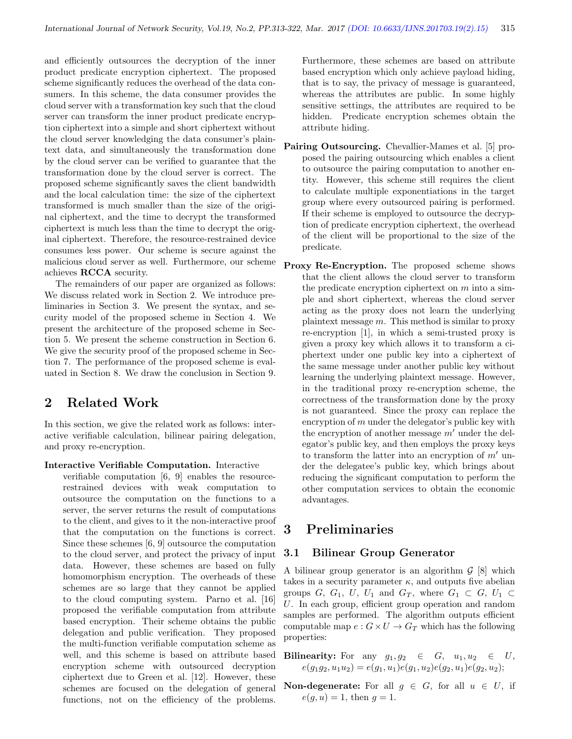and efficiently outsources the decryption of the inner product predicate encryption ciphertext. The proposed scheme significantly reduces the overhead of the data consumers. In this scheme, the data consumer provides the cloud server with a transformation key such that the cloud server can transform the inner product predicate encryption ciphertext into a simple and short ciphertext without the cloud server knowledging the data consumer's plaintext data, and simultaneously the transformation done by the cloud server can be verified to guarantee that the transformation done by the cloud server is correct. The proposed scheme significantly saves the client bandwidth and the local calculation time: the size of the ciphertext transformed is much smaller than the size of the original ciphertext, and the time to decrypt the transformed ciphertext is much less than the time to decrypt the original ciphertext. Therefore, the resource-restrained device consumes less power. Our scheme is secure against the malicious cloud server as well. Furthermore, our scheme achieves RCCA security.

The remainders of our paper are organized as follows: We discuss related work in Section 2. We introduce preliminaries in Section 3. We present the syntax, and security model of the proposed scheme in Section 4. We present the architecture of the proposed scheme in Section 5. We present the scheme construction in Section 6. We give the security proof of the proposed scheme in Section 7. The performance of the proposed scheme is evaluated in Section 8. We draw the conclusion in Section 9.

# 2 Related Work

In this section, we give the related work as follows: interactive verifiable calculation, bilinear pairing delegation, and proxy re-encryption.

#### Interactive Verifiable Computation. Interactive

verifiable computation [6, 9] enables the resourcerestrained devices with weak computation to outsource the computation on the functions to a server, the server returns the result of computations to the client, and gives to it the non-interactive proof that the computation on the functions is correct. Since these schemes [6, 9] outsource the computation to the cloud server, and protect the privacy of input data. However, these schemes are based on fully homomorphism encryption. The overheads of these schemes are so large that they cannot be applied to the cloud computing system. Parno et al. [16] proposed the verifiable computation from attribute based encryption. Their scheme obtains the public delegation and public verification. They proposed the multi-function verifiable computation scheme as well, and this scheme is based on attribute based encryption scheme with outsourced decryption ciphertext due to Green et al. [12]. However, these schemes are focused on the delegation of general functions, not on the efficiency of the problems.

Furthermore, these schemes are based on attribute based encryption which only achieve payload hiding, that is to say, the privacy of message is guaranteed, whereas the attributes are public. In some highly sensitive settings, the attributes are required to be hidden. Predicate encryption schemes obtain the attribute hiding.

- Pairing Outsourcing. Chevallier-Mames et al. [5] proposed the pairing outsourcing which enables a client to outsource the pairing computation to another entity. However, this scheme still requires the client to calculate multiple exponentiations in the target group where every outsourced pairing is performed. If their scheme is employed to outsource the decryption of predicate encryption ciphertext, the overhead of the client will be proportional to the size of the predicate.
- Proxy Re-Encryption. The proposed scheme shows that the client allows the cloud server to transform the predicate encryption ciphertext on  $m$  into a simple and short ciphertext, whereas the cloud server acting as the proxy does not learn the underlying plaintext message  $m$ . This method is similar to proxy re-encryption [1], in which a semi-trusted proxy is given a proxy key which allows it to transform a ciphertext under one public key into a ciphertext of the same message under another public key without learning the underlying plaintext message. However, in the traditional proxy re-encryption scheme, the correctness of the transformation done by the proxy is not guaranteed. Since the proxy can replace the encryption of m under the delegator's public key with the encryption of another message  $m'$  under the delegator's public key, and then employs the proxy keys to transform the latter into an encryption of  $m'$  under the delegatee's public key, which brings about reducing the significant computation to perform the other computation services to obtain the economic advantages.

# 3 Preliminaries

### 3.1 Bilinear Group Generator

A bilinear group generator is an algorithm  $\mathcal{G}$  [8] which takes in a security parameter  $\kappa$ , and outputs five abelian groups G, G<sub>1</sub>, U, U<sub>1</sub> and G<sub>T</sub>, where  $G_1 \subset G$ , U<sub>1</sub>  $\subset$ U. In each group, efficient group operation and random samples are performed. The algorithm outputs efficient computable map  $e: G \times U \to G_T$  which has the following properties:

Bilinearity: For any  $g_1, g_2 \in G$ ,  $u_1, u_2 \in U$ ,  $e(g_1g_2, u_1u_2) = e(g_1, u_1)e(g_1, u_2)e(g_2, u_1)e(g_2, u_2);$ 

**Non-degenerate:** For all  $g \in G$ , for all  $u \in U$ , if  $e(g, u) = 1$ , then  $g = 1$ .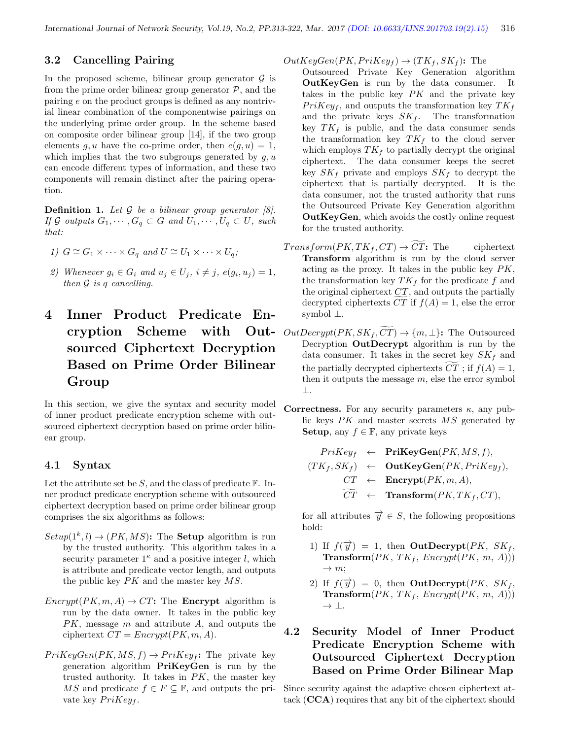### 3.2 Cancelling Pairing

In the proposed scheme, bilinear group generator  $\mathcal G$  is from the prime order bilinear group generator  $P$ , and the pairing e on the product groups is defined as any nontrivial linear combination of the componentwise pairings on the underlying prime order group. In the scheme based on composite order bilinear group [14], if the two group elements g, u have the co-prime order, then  $e(q, u) = 1$ , which implies that the two subgroups generated by  $q, u$ can encode different types of information, and these two components will remain distinct after the pairing operation.

**Definition 1.** Let  $\mathcal G$  be a bilinear group generator  $\mathcal G$ . If G outputs  $G_1, \cdots, G_q \subset G$  and  $U_1, \cdots, U_q \subset U$ , such that:

1) 
$$
G \cong G_1 \times \cdots \times G_q
$$
 and  $U \cong U_1 \times \cdots \times U_q$ ;

2) Whenever  $g_i \in G_i$  and  $u_j \in U_j$ ,  $i \neq j$ ,  $e(g_i, u_j) = 1$ , then  $\mathcal G$  is q cancelling.

# 4 Inner Product Predicate Encryption Scheme with Outsourced Ciphertext Decryption Based on Prime Order Bilinear Group

In this section, we give the syntax and security model of inner product predicate encryption scheme with outsourced ciphertext decryption based on prime order bilinear group.

#### 4.1 Syntax

Let the attribute set be  $S$ , and the class of predicate  $\mathbb{F}$ . Inner product predicate encryption scheme with outsourced ciphertext decryption based on prime order bilinear group comprises the six algorithms as follows:

- $Setup(1^k,l) \rightarrow (PK, MS)$ : The **Setup** algorithm is run by the trusted authority. This algorithm takes in a security parameter  $1^{\kappa}$  and a positive integer l, which is attribute and predicate vector length, and outputs the public key  $PK$  and the master key  $MS$ .
- $\text{Encrypt}(PK, m, A) \rightarrow CT$ : The **Encrypt** algorithm is run by the data owner. It takes in the public key PK, message m and attribute A, and outputs the ciphertext  $CT = \text{Energy}(PK, m, A)$ .
- $PrikeyGen(PK, MS, f) \rightarrow Prikeyf$ : The private key generation algorithm PriKeyGen is run by the trusted authority. It takes in  $PK$ , the master key MS and predicate  $f \in F \subseteq \mathbb{F}$ , and outputs the private key  $PriKey_f$ .

 $OutKeyGen(PK, PriKey_f) \rightarrow (TK_f, SK_f)$ : The

Outsourced Private Key Generation algorithm OutKeyGen is run by the data consumer. It takes in the public key  $PK$  and the private key  $Prikey<sub>f</sub>$ , and outputs the transformation key  $TK<sub>f</sub>$ and the private keys  $SK_f$ . The transformation key  $TK_f$  is public, and the data consumer sends the transformation key  $TK_f$  to the cloud server which employs  $TK_f$  to partially decrypt the original ciphertext. The data consumer keeps the secret key  $SK_f$  private and employs  $SK_f$  to decrypt the ciphertext that is partially decrypted. It is the data consumer, not the trusted authority that runs the Outsourced Private Key Generation algorithm OutKeyGen, which avoids the costly online request for the trusted authority.

- $Transform(PK, TK_f, CT) \rightarrow \overline{CT}$ : The ciphertext Transform algorithm is run by the cloud server acting as the proxy. It takes in the public key  $PK$ , the transformation key  $TK_f$  for the predicate  $f$  and the original ciphertext  $CT$ , and outputs the partially decrypted ciphertexts CT if  $f(A) = 1$ , else the error symbol ⊥.
- $OutDecrypt(PK, SK_f, \overline{CT}) \rightarrow \{m, \perp\}$ : The Outsourced Decryption OutDecrypt algorithm is run by the data consumer. It takes in the secret key  $SK<sub>f</sub>$  and the partially decrypted ciphertexts  $CT$ ; if  $f(A) = 1$ , then it outputs the message  $m$ , else the error symbol ⊥.
- Correctness. For any security parameters  $\kappa$ , any public keys PK and master secrets MS generated by Setup, any  $f \in \mathbb{F}$ , any private keys

$$
PriKey_f \leftarrow \text{PriKeyGen}(PK, MS, f),
$$
  
\n
$$
(TK_f, SK_f) \leftarrow \text{OutKeyGen}(PK, PriKey_f),
$$
  
\n
$$
CT \leftarrow \text{Encrypt}(PK, m, A),
$$
  
\n
$$
\widetilde{CT} \leftarrow \text{Transform}(PK, TK_f, CT),
$$

for all attributes  $\overrightarrow{y} \in S$ , the following propositions hold:

- 1) If  $f(\vec{y}) = 1$ , then **OutDecrypt**(*PK*, *SK*<sub>f</sub>, **Transform** $(PK, TK_f, \text{Encrypt}(PK, m, A))$  $\rightarrow$  m;
- 2) If  $f(\vec{y}) = 0$ , then **OutDecrypt**(*PK*, *SK*<sub>f</sub>, Transform $(PK, TK_f, \text{Encrypt}(PK, m, A)))$ → ⊥.
- 4.2 Security Model of Inner Product Predicate Encryption Scheme with Outsourced Ciphertext Decryption Based on Prime Order Bilinear Map

Since security against the adaptive chosen ciphertext attack (CCA) requires that any bit of the ciphertext should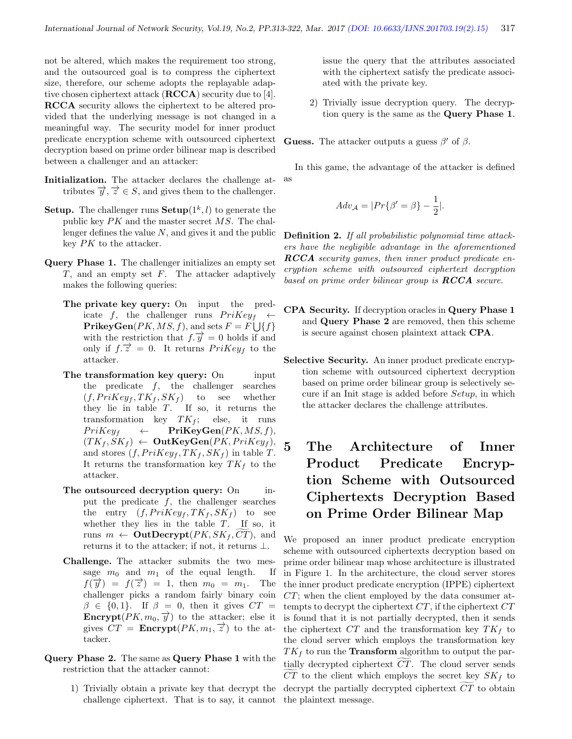not be altered, which makes the requirement too strong, and the outsourced goal is to compress the ciphertext size, therefore, our scheme adopts the replayable adaptive chosen ciphertext attack (RCCA) security due to [4]. RCCA security allows the ciphertext to be altered provided that the underlying message is not changed in a meaningful way. The security model for inner product predicate encryption scheme with outsourced ciphertext decryption based on prime order bilinear map is described between a challenger and an attacker:

- Initialization. The attacker declares the challenge attributes  $\overrightarrow{y}$ ,  $\overrightarrow{z} \in S$ , and gives them to the challenger.
- **Setup.** The challenger runs  $\textbf{Setup}(1^k, l)$  to generate the public key  $PK$  and the master secret  $MS$ . The challenger defines the value  $N$ , and gives it and the public key PK to the attacker.
- Query Phase 1. The challenger initializes an empty set  $T$ , and an empty set  $F$ . The attacker adaptively makes the following queries:
	- The private key query: On input the predicate f, the challenger runs  $PriKey_f \leftarrow$  $\mathbf{PrikeyGen}(PK, MS, f), \text{ and sets } F = F \bigcup \{f\}$ with the restriction that  $f.\overrightarrow{y} = 0$  holds if and only if  $f.\overrightarrow{z} = 0$ . It returns  $PriKey_f$  to the attacker.
	- The transformation key query: On input the predicate  $f$ , the challenger searches  $(f, PriKey_f, TK_f, SK_f)$  to see whether they lie in table  $T$ . If so, it returns the transformation key  $TK_f$ ; else, it runs  $PriKey_f \leftarrow \PriKeyGen(PK, MS, f),$  $(TK_f, SK_f) \leftarrow$  OutKeyGen(PK, PriKeyf), and stores  $(f, PriKey_f, TK_f, SK_f)$  in table T. It returns the transformation key  $TK_f$  to the attacker.
	- The outsourced decryption query: On input the predicate  $f$ , the challenger searches the entry  $(f, PriKey_f, TK_f, SK_f)$  to see whether they lies in the table  $T$ . If so, it runs  $m \leftarrow$  **OutDecrypt** $(PK, SK_f, CT)$ , and returns it to the attacker; if not, it returns  $\perp$ .
	- Challenge. The attacker submits the two message  $m_0$  and  $m_1$  of the equal length. If  $f(\vec{y}) = f(\vec{z}) = 1$ , then  $m_0 = m_1$ . The challenger picks a random fairly binary coin  $\beta \in \{0,1\}$ . If  $\beta = 0$ , then it gives  $CT =$ **Encrypt** $(PK, m_0, \overrightarrow{y})$  to the attacker; else it gives  $CT =$ **Encrypt** $(PK, m_1, \vec{z})$  to the attacker.
- Query Phase 2. The same as Query Phase 1 with the restriction that the attacker cannot:
	- 1) Trivially obtain a private key that decrypt the challenge ciphertext. That is to say, it cannot

issue the query that the attributes associated with the ciphertext satisfy the predicate associated with the private key.

2) Trivially issue decryption query. The decryption query is the same as the Query Phase 1.

**Guess.** The attacker outputs a guess  $\beta'$  of  $\beta$ .

In this game, the advantage of the attacker is defined as

$$
Adv_{\mathcal{A}} = |Pr{\beta' = \beta} - \frac{1}{2}|.
$$

Definition 2. If all probabilistic polynomial time attackers have the negligible advantage in the aforementioned RCCA security games, then inner product predicate encryption scheme with outsourced ciphertext decryption based on prime order bilinear group is  $\mathbf{RCCA}$  secure.

- CPA Security. If decryption oracles in Query Phase 1 and Query Phase 2 are removed, then this scheme is secure against chosen plaintext attack CPA.
- Selective Security. An inner product predicate encryption scheme with outsourced ciphertext decryption based on prime order bilinear group is selectively secure if an Init stage is added before Setup, in which the attacker declares the challenge attributes.
- 5 The Architecture of Inner Product Predicate Encryption Scheme with Outsourced Ciphertexts Decryption Based on Prime Order Bilinear Map

We proposed an inner product predicate encryption scheme with outsourced ciphertexts decryption based on prime order bilinear map whose architecture is illustrated in Figure 1. In the architecture, the cloud server stores the inner product predicate encryption (IPPE) ciphertext CT; when the client employed by the data consumer attempts to decrypt the ciphertext  $CT$ , if the ciphertext  $CT$ is found that it is not partially decrypted, then it sends the ciphertext  $CT$  and the transformation key  $TK_f$  to the cloud server which employs the transformation key  $TK_f$  to run the **Transform** algorithm to output the partially decrypted ciphertext  $CT$ . The cloud server sends  $CT$  to the client which employs the secret key  $SK_f$  to decrypt the partially decrypted ciphertext  $CT$  to obtain the plaintext message.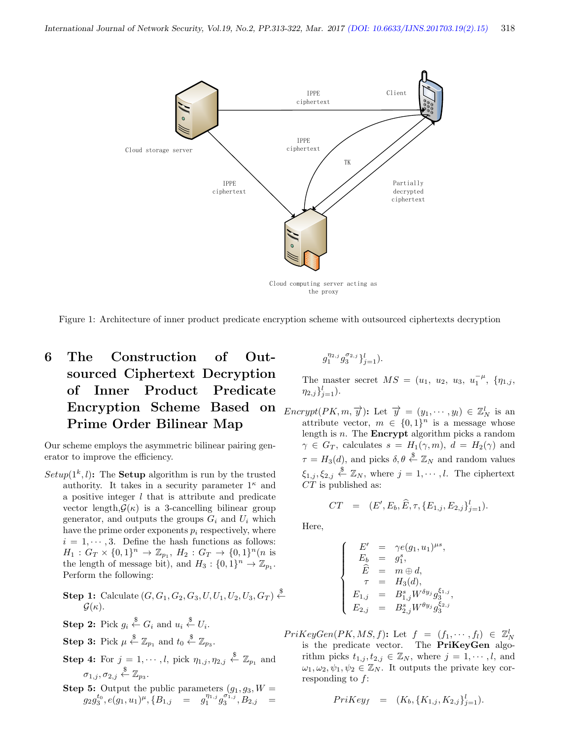

Figure 1: Architecture of inner product predicate encryption scheme with outsourced ciphertexts decryption

# 6 The Construction of Outsourced Ciphertext Decryption of Inner Product Predicate Encryption Scheme Based on Prime Order Bilinear Map

Our scheme employs the asymmetric bilinear pairing generator to improve the efficiency.

 $Setup(1^k,l)$ : The **Setup** algorithm is run by the trusted authority. It takes in a security parameter  $1^{\kappa}$  and a positive integer  $l$  that is attribute and predicate vector length, $\mathcal{G}(\kappa)$  is a 3-cancelling bilinear group generator, and outputs the groups  $G_i$  and  $U_i$  which have the prime order exponents  $p_i$  respectively, where  $i = 1, \dots, 3$ . Define the hash functions as follows:  $H_1: G_T \times \{0,1\}^n \to \mathbb{Z}_{p_1}, H_2: G_T \to \{0,1\}^n (n \text{ is }$ the length of message bit), and  $H_3: \{0, 1\}^n \to \mathbb{Z}_{p_1}$ . Perform the following:

**Step 1:** Calculate 
$$
(G, G_1, G_2, G_3, U, U_1, U_2, U_3, G_T) \stackrel{\$}{\leftarrow}
$$
  
 $\mathcal{G}(\kappa)$ .

- **Step 2:** Pick  $g_i \overset{\$}{\leftarrow} G_i$  and  $u_i \overset{\$}{\leftarrow} U_i$ .
- **Step 3:** Pick  $\mu \overset{\$}{\leftarrow} \mathbb{Z}_{p_1}$  and  $t_0 \overset{\$}{\leftarrow} \mathbb{Z}_{p_3}$ .
- **Step 4:** For  $j = 1, \dots, l$ , pick  $\eta_{1,j}, \eta_{2,j} \stackrel{\$}{\leftarrow} \mathbb{Z}_{p_1}$  and  $\sigma_{1,j}, \sigma_{2,j} \stackrel{\$}{\leftarrow} \mathbb{Z}_{p_3}.$
- **Step 5:** Output the public parameters  $(g_1, g_3, W =$  $g_2g_3^{t_0}, e(g_1, u_1)^\mu, \{B_{1,j}\quad = \quad g_1^{\eta_{1,j}}g_3^{\sigma_{1,j}} , B_{2,j} \quad =$

 $g_1^{\eta_{2,j}} g_3^{\sigma_{2,j}}\}_{j=1}^l$ ).

The master secret  $MS = (u_1, u_2, u_3, u_1^{-\mu}, \{\eta_{1,j},\}$  $\eta_{2,j}\}_{j=1}^l$ ).

 $\text{Encrypt}(PK, m, \overrightarrow{y})$ : Let  $\overrightarrow{y} = (y_1, \dots, y_l) \in \mathbb{Z}_N^l$  is an attribute vector,  $m \in \{0,1\}^n$  is a message whose length is  $n$ . The **Encrypt** algorithm picks a random  $\gamma \in G_T$ , calculates  $s = H_1(\gamma, m)$ ,  $d = H_2(\gamma)$  and  $\tau = H_3(d)$ , and picks  $\delta, \theta \stackrel{\$}{\leftarrow} \mathbb{Z}_N$  and random values  $\xi_{1,j}, \xi_{2,j} \stackrel{\$}{\leftarrow} \mathbb{Z}_N$ , where  $j = 1, \cdots, l$ . The ciphertext  $CT$  is published as:

$$
CT = (E', E_b, \widehat{E}, \tau, \{E_{1,j}, E_{2,j}\}_{j=1}^l).
$$

Here,

$$
\left\{\begin{array}{rcl} E' &=& \gamma e(g_1,u_1)^{\mu s},\\ E_b &=& g_1^s,\\ \widehat{E} &=& m\oplus d,\\ \tau &=& H_3(d),\\ E_{1,j} &=& B_{1,j}^s W^{\delta y_j} g_3^{\xi_{1,j}},\\ E_{2,j} &=& B_{2,j}^s W^{\theta y_j} g_3^{\xi_{2,j}} \end{array}\right.
$$

 $PriKeyGen(PK, MS, f)$ : Let  $f = (f_1, \dots, f_l) \in \mathbb{Z}_N^l$ is the predicate vector. The PriKeyGen algorithm picks  $t_{1,j}, t_{2,j} \in \mathbb{Z}_N$ , where  $j = 1, \dots, l$ , and  $\omega_1, \omega_2, \psi_1, \psi_2 \in \mathbb{Z}_N$ . It outputs the private key corresponding to f:

$$
PriKey_f = (K_b, \{K_{1,j}, K_{2,j}\}_{j=1}^l).
$$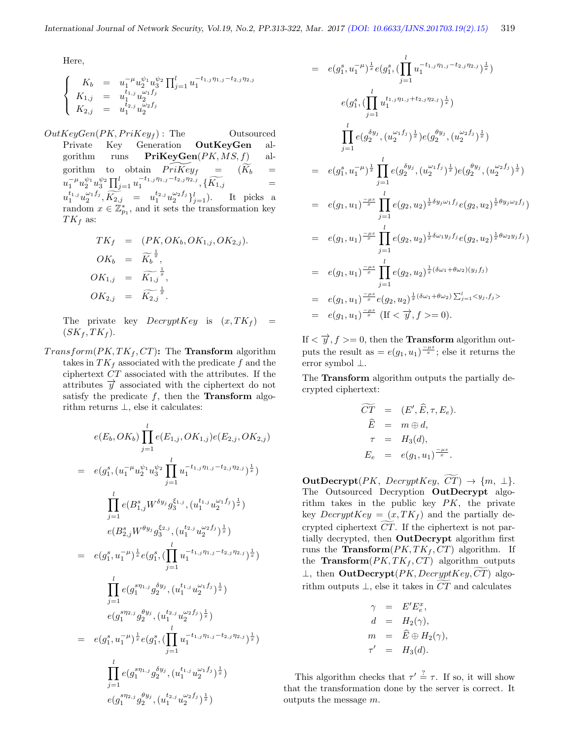Here,

$$
\begin{cases}\nK_b = u_1^{-\mu} u_2^{\psi_1} u_3^{\psi_2} \prod_{j=1}^l u_1^{-t_{1,j} \eta_{1,j} - t_{2,j} \eta_{2,j}} \\
K_{1,j} = u_1^{t_{1,j}} u_2^{\omega_1 f_j} \\
K_{2,j} = u_1^{t_{2,j}} u_2^{\omega_2 f_j}\n\end{cases}
$$

 $OutKeyGen(PK, PriKey<sub>f</sub>)$ : The Outsourced Private Key Generation OutKeyGen algorithm runs  **al**gorithm to obtain  $\widetilde{PrKey}_f = (\widetilde{K}_b =$  $u_1^{-\mu} u_2^{\psi_1} u_3^{\psi_2} \prod_{j=1}^l u_1^{-t_{1,j} \eta_{1,j}-t_{2,j} \eta_{2,j}} , \{\widetilde{K_{1,j}} \qquad \qquad =$  $u_1^{t_{1,j}}u_2^{\omega_1 f_j}, \widetilde{K_{2,j}} = u_1^{t_{2,j}}u_2^{\omega_2 f_j}\}_{j=1}^l$ ). It picks a random  $x \in \mathbb{Z}_{p_1}^*$ , and it sets the transformation key  $TK_f$  as:

$$
TK_f = (PK, OK_b, OK_{1,j}, OK_{2,j}).
$$
  
\n
$$
OK_b = \widetilde{K_b}^{\frac{1}{x}},
$$
  
\n
$$
OK_{1,j} = \widetilde{K_{1,j}}^{\frac{1}{x}},
$$
  
\n
$$
OK_{2,j} = \widetilde{K_{2,j}}^{\frac{1}{x}}.
$$

The private key  $DecryptKey$  is  $(x, TK_f)$  =  $(SK_f, TK_f).$ 

 $Transform(PK, TK_f, CT)$ : The **Transform** algorithm takes in  $TK_f$  associated with the predicate f and the ciphertext CT associated with the attributes. If the attributes  $\overrightarrow{y}$  associated with the ciphertext do not satisfy the predicate  $f$ , then the **Transform** algorithm returns ⊥, else it calculates:

$$
e(E_b, OK_b) \prod_{j=1}^{l} e(E_{1,j}, OK_{1,j}) e(E_{2,j}, OK_{2,j})
$$
  
\n
$$
= e(g_1^s, (u_1^{-\mu} u_2^{\psi_1} u_3^{\psi_2} \prod_{j=1}^{l} u_1^{-t_{1,j} \eta_{1,j} - t_{2,j} \eta_{2,j}})^{\frac{1}{x}})
$$
  
\n
$$
\prod_{j=1}^{l} e(B_{1,j}^s W^{\delta y_j} g_3^{\xi_{1,j}}, (u_1^{t_{1,j}} u_2^{\omega_1 f_j})^{\frac{1}{x}})
$$
  
\n
$$
e(B_{2,j}^s W^{\theta y_j} g_3^{\xi_{2,j}}, (u_1^{t_{2,j}} u_2^{\omega_2 f_j})^{\frac{1}{x}})
$$
  
\n
$$
= e(g_1^s, u_1^{-\mu})^{\frac{1}{x}} e(g_1^s, (\prod_{j=1}^{l} u_1^{-t_{1,j} \eta_{1,j} - t_{2,j} \eta_{2,j}})^{\frac{1}{x}})
$$
  
\n
$$
\prod_{j=1}^{l} e(g_1^{s \eta_{1,j}} g_2^{\delta y_j}, (u_1^{t_{1,j}} u_2^{\omega_1 f_j})^{\frac{1}{x}})
$$
  
\n
$$
= e(g_1^{s, \eta_{2,j}} g_2^{\theta y_j}, (u_1^{t_{2,j}} u_2^{\omega_2 f_j})^{\frac{1}{x}})
$$
  
\n
$$
= e(g_1^s, u_1^{-\mu})^{\frac{1}{x}} e(g_1^s, (\prod_{j=1}^{l} u_1^{-t_{1,j} \eta_{1,j} - t_{2,j} \eta_{2,j}})^{\frac{1}{x}})
$$
  
\n
$$
\prod_{j=1}^{l} e(g_1^{s \eta_{1,j}} g_2^{\delta y_j}, (u_1^{t_{1,j}} u_2^{\omega_1 f_j})^{\frac{1}{x}})
$$
  
\n
$$
e(g_1^{s \eta_{2,j}} g_2^{\theta y_j}, (u_1^{t_{2,j}} u_2^{\omega_2 f_j})^{\frac{1}{x}})
$$

$$
= e(g_1^s, u_1^{-\mu})^{\frac{1}{x}} e(g_1^s, (\prod_{j=1}^r u_1^{-t_{1,j}\eta_{1,j} - t_{2,j}\eta_{2,j}})^{\frac{1}{x}})
$$
  
\n
$$
e(g_1^s, (\prod_{j=1}^l u_1^{t_{1,j}\eta_{1,j} + t_{2,j}\eta_{2,j}})^{\frac{1}{x}})
$$
  
\n
$$
\prod_{j=1}^l e(g_2^{\delta y_j}, (u_2^{\omega_1 f_j})^{\frac{1}{x}}) e(g_2^{\theta y_j}, (u_2^{\omega_2 f_j})^{\frac{1}{x}})
$$
  
\n
$$
= e(g_1^s, u_1^{-\mu})^{\frac{1}{x}} \prod_{j=1}^l e(g_2^{\delta y_j}, (u_2^{\omega_1 f_j})^{\frac{1}{x}}) e(g_2^{\theta y_j}, (u_2^{\omega_2 f_j})^{\frac{1}{x}})
$$
  
\n
$$
= e(g_1, u_1)^{\frac{-\mu s}{x}} \prod_{j=1}^l e(g_2, u_2)^{\frac{1}{x}\delta y_j \omega_1 f_j} e(g_2, u_2)^{\frac{1}{x}\theta y_j \omega_2 f_j}
$$
  
\n
$$
= e(g_1, u_1)^{\frac{-\mu s}{x}} \prod_{j=1}^l e(g_2, u_2)^{\frac{1}{x}\delta \omega_1 y_j f_j} e(g_2, u_2)^{\frac{1}{x}\theta \omega_2 y_j f_j}
$$
  
\n
$$
= e(g_1, u_1)^{\frac{-\mu s}{x}} \prod_{j=1}^l e(g_2, u_2)^{\frac{1}{x}(\delta \omega_1 + \theta \omega_2)(y_j f_j)}
$$
  
\n
$$
= e(g_1, u_1)^{\frac{-\mu s}{x}} e(g_2, u_2)^{\frac{1}{x}(\delta \omega_1 + \theta \omega_2)} \sum_{j=1}^l \n g_j, f_j > 0.
$$

l

If  $\langle \overrightarrow{y}, f \rangle = 0$ , then the **Transform** algorithm outputs the result as  $= e(g_1, u_1)^{\frac{-\mu s}{x}}$ ; else it returns the error symbol ⊥.

The Transform algorithm outputs the partially decrypted ciphertext:

$$
\widetilde{CT} = (E', \widehat{E}, \tau, E_e).
$$
  
\n
$$
\widehat{E} = m \oplus d,
$$
  
\n
$$
\tau = H_3(d),
$$
  
\n
$$
E_e = e(g_1, u_1)^{\frac{-\mu s}{x}}.
$$

 $\text{OutDecrypt}(PK, \text{DecryptKey}, \text{CT}) \rightarrow \{m, \perp\}.$ The Outsourced Decryption **OutDecrypt** algorithm takes in the public key PK, the private key  $DecryptKey = (x, TK_f)$  and the partially decrypted ciphertext  $CT$ . If the ciphertext is not partially decrypted, then OutDecrypt algorithm first runs the Transform $(PK, TK_f, CT)$  algorithm. If the Transform $(PK, TK_f, CT)$  algorithm outputs ⊥, then  $\text{OutDecrypt}(PK, DecryptKey, CT)$  algorithm outputs  $\bot$ , else it takes in  $\widetilde{CT}$  and calculates

$$
\gamma = E'E_e^x,
$$
  
\n
$$
d = H_2(\gamma),
$$
  
\n
$$
m = \widehat{E} \oplus H_2(\gamma),
$$
  
\n
$$
\tau' = H_3(d).
$$

This algorithm checks that  $\tau' \stackrel{?}{=} \tau$ . If so, it will show that the transformation done by the server is correct. It outputs the message m.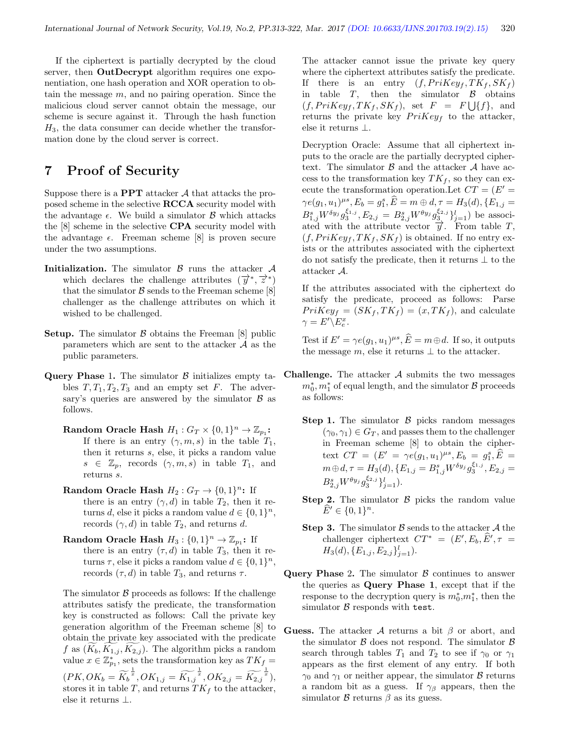If the ciphertext is partially decrypted by the cloud server, then **OutDecrypt** algorithm requires one exponentiation, one hash operation and XOR operation to obtain the message  $m$ , and no pairing operation. Since the malicious cloud server cannot obtain the message, our scheme is secure against it. Through the hash function  $H_3$ , the data consumer can decide whether the transformation done by the cloud server is correct.

# 7 Proof of Security

Suppose there is a **PPT** attacker  $\mathcal A$  that attacks the proposed scheme in the selective RCCA security model with the advantage  $\epsilon$ . We build a simulator  $\beta$  which attacks the [8] scheme in the selective CPA security model with the advantage  $\epsilon$ . Freeman scheme [8] is proven secure under the two assumptions.

- **Initialization.** The simulator  $\beta$  runs the attacker  $\mathcal{A}$ which declares the challenge attributes  $(\overrightarrow{y}, \overrightarrow{z})$ that the simulator  $\beta$  sends to the Freeman scheme [8] challenger as the challenge attributes on which it wished to be challenged.
- **Setup.** The simulator  $\beta$  obtains the Freeman [8] public parameters which are sent to the attacker  $A$  as the public parameters.
- Query Phase 1. The simulator  $\beta$  initializes empty tables  $T, T_1, T_2, T_3$  and an empty set F. The adversary's queries are answered by the simulator  $\beta$  as follows.
	- Random Oracle Hash  $H_1: G_T \times \{0,1\}^n \to \mathbb{Z}_{p_1}$ : If there is an entry  $(\gamma, m, s)$  in the table  $T_1$ , then it returns s, else, it picks a random value  $s \in \mathbb{Z}_p$ , records  $(\gamma, m, s)$  in table  $T_1$ , and returns s.
	- Random Oracle Hash  $H_2: G_T \to \{0,1\}^n$ : If there is an entry  $(\gamma, d)$  in table  $T_2$ , then it returns d, else it picks a random value  $d \in \{0,1\}^n$ , records  $(\gamma, d)$  in table  $T_2$ , and returns d.
	- Random Oracle Hash  $H_3: \{0,1\}^n \to \mathbb{Z}_{p_1}$ : If there is an entry  $(\tau, d)$  in table  $T_3$ , then it returns  $\tau$ , else it picks a random value  $d \in \{0,1\}^n$ , records  $(\tau, d)$  in table  $T_3$ , and returns  $\tau$ .

The simulator  $\beta$  proceeds as follows: If the challenge attributes satisfy the predicate, the transformation key is constructed as follows: Call the private key generation algorithm of the Freeman scheme [8] to obtain the private key associated with the predicate f as  $(K_b, K_{1,j}, K_{2,j})$ . The algorithm picks a random value  $x \in \mathbb{Z}_{p_1}^*$ , sets the transformation key as  $TK_f =$  $(PK, OK_b = \widetilde{K_b}^{\frac{1}{x}}, OK_{1,j} = \widetilde{K_{1,j}}^{\frac{1}{x}}, OK_{2,j} = \widetilde{K_{2,j}}^{\frac{1}{x}}),$ stores it in table T, and returns  $TK_f$  to the attacker, else it returns ⊥.

The attacker cannot issue the private key query where the ciphertext attributes satisfy the predicate. If there is an entry  $(f, PriKey_f, TK_f, SK_f)$ in table  $T$ , then the simulator  $\beta$  obtains  $(f, PriKey_f, TK_f, SK_f)$ , set  $F = F \bigcup \{f\}$ , and returns the private key  $PriKey_f$  to the attacker, else it returns ⊥.

Decryption Oracle: Assume that all ciphertext inputs to the oracle are the partially decrypted ciphertext. The simulator  $\beta$  and the attacker  $\mathcal A$  have access to the transformation key  $TK_f$ , so they can execute the transformation operation. Let  $CT = (E' =$  $\gamma e(g_1, u_1)^{\mu s}, E_b = g_1^s, \widehat{E} = m \oplus d, \tau = H_3(d), \{E_{1,j} =$  $B_{1,j}^{s}W^{\delta y_{j}}g_{3}^{\xi_{1,j}}, E_{2,j} = B_{2,j}^{s}W^{\theta y_{j}}g_{3}^{\xi_{2,j}}\}_{j=1}^{l}$  be associated with the attribute vector  $\overrightarrow{y}$ . From table *T*,  $(f, PriKey_f, TK_f, SK_f)$  is obtained. If no entry exists or the attributes associated with the ciphertext do not satisfy the predicate, then it returns ⊥ to the attacker A.

If the attributes associated with the ciphertext do satisfy the predicate, proceed as follows: Parse  $Prikey<sub>f</sub> = (SK<sub>f</sub>, TK<sub>f</sub>) = (x, TK<sub>f</sub>)$ , and calculate  $\gamma = E' \backslash E_e^x.$ 

Test if  $E' = \gamma e(g_1, u_1)^{\mu s}, \widehat{E} = m \oplus d$ . If so, it outputs the message m, else it returns  $\perp$  to the attacker.

- **Challenge.** The attacker  $A$  submits the two messages  $m_0^*, m_1^*$  of equal length, and the simulator  $\mathcal B$  proceeds as follows:
	- **Step 1.** The simulator  $\beta$  picks random messages  $(\gamma_0, \gamma_1) \in G_T$ , and passes them to the challenger in Freeman scheme [8] to obtain the ciphertext  $CT = (E' = \gamma e(g_1, u_1)^{\mu s}, E_b = g_1^s, \widehat{E} =$  $m \oplus d, \tau = H_3(d), \{ E_{1,j} = B_{1,j}^s W^{\delta y_j} g_3^{\xi_{1,j}}, E_{2,j} =$  $B_{2,j}^s W^{\theta y_j} g_3^{\xi_{2,j}} \}_{j=1}^l$ ).
	- **Step 2.** The simulator  $\beta$  picks the random value  $\widehat{E}' \in \{0, 1\}^n$ .
	- **Step 3.** The simulator  $\beta$  sends to the attacker  $\mathcal A$  the challenger ciphertext  $CT^* = (E', E_b, \widehat{E}', \tau =$  $H_3(d), \{E_{1,j}, E_{2,j}\}_{j=1}^l$ .
- Query Phase 2. The simulator  $\beta$  continues to answer the queries as Query Phase 1, except that if the response to the decryption query is  $m_0^*, m_1^*$ , then the simulator  $\beta$  responds with test.
- Guess. The attacker  $A$  returns a bit  $\beta$  or abort, and the simulator  $\beta$  does not respond. The simulator  $\beta$ search through tables  $T_1$  and  $T_2$  to see if  $\gamma_0$  or  $\gamma_1$ appears as the first element of any entry. If both  $\gamma_0$  and  $\gamma_1$  or neither appear, the simulator B returns a random bit as a guess. If  $\gamma_\beta$  appears, then the simulator  $\beta$  returns  $\beta$  as its guess.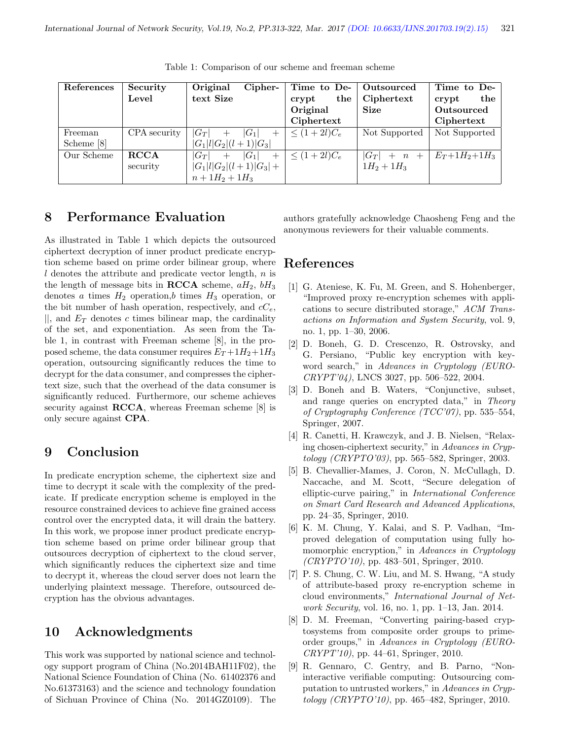| References | Security     | Cipher-<br>Original          | Time to De-      | Outsourced    | Time to De-         |
|------------|--------------|------------------------------|------------------|---------------|---------------------|
|            | Level        | text Size                    | the<br>crypt     | Ciphertext    | the<br>crypt        |
|            |              |                              | Original         | <b>Size</b>   | Outsourced          |
|            |              |                              | Ciphertext       |               | Ciphertext          |
| Freeman    | CPA security | $ G_T $<br>$ G_1 $           | $\leq (1+2l)C_e$ | Not Supported | Not Supported       |
| Scheme [8] |              | $ G_1 l G_2 (l+1) G_3 $      |                  |               |                     |
| Our Scheme | <b>RCCA</b>  | $ G_1 $<br>$ G_T $<br>$^{+}$ | $\leq (1+2l)C_e$ | $ G_T  + n +$ | $E_T + 1H_2 + 1H_3$ |
|            | security     | $ G_1 l G_2 (l+1) G_3  +$    |                  | $1H_2 + 1H_3$ |                     |
|            |              | $n+1H_2+1H_3$                |                  |               |                     |

Table 1: Comparison of our scheme and freeman scheme

## 8 Performance Evaluation

As illustrated in Table 1 which depicts the outsourced ciphertext decryption of inner product predicate encryption scheme based on prime order bilinear group, where  $l$  denotes the attribute and predicate vector length,  $n$  is the length of message bits in **RCCA** scheme,  $aH_2$ ,  $bH_3$ denotes a times  $H_2$  operation, b times  $H_3$  operation, or the bit number of hash operation, respectively, and  $cC_e$ ,  $||$ , and  $E_T$  denotes c times bilinear map, the cardinality of the set, and exponentiation. As seen from the Table 1, in contrast with Freeman scheme [8], in the proposed scheme, the data consumer requires  $E_T + 1H_2 + 1H_3$ operation, outsourcing significantly reduces the time to decrypt for the data consumer, and compresses the ciphertext size, such that the overhead of the data consumer is significantly reduced. Furthermore, our scheme achieves security against **RCCA**, whereas Freeman scheme [8] is only secure against CPA.

# 9 Conclusion

In predicate encryption scheme, the ciphertext size and time to decrypt it scale with the complexity of the predicate. If predicate encryption scheme is employed in the resource constrained devices to achieve fine grained access control over the encrypted data, it will drain the battery. In this work, we propose inner product predicate encryption scheme based on prime order bilinear group that outsources decryption of ciphertext to the cloud server, which significantly reduces the ciphertext size and time to decrypt it, whereas the cloud server does not learn the underlying plaintext message. Therefore, outsourced decryption has the obvious advantages.

# 10 Acknowledgments

This work was supported by national science and technology support program of China (No.2014BAH11F02), the National Science Foundation of China (No. 61402376 and No.61373163) and the science and technology foundation of Sichuan Province of China (No. 2014GZ0109). The authors gratefully acknowledge Chaosheng Feng and the anonymous reviewers for their valuable comments.

### References

- [1] G. Ateniese, K. Fu, M. Green, and S. Hohenberger, "Improved proxy re-encryption schemes with applications to secure distributed storage," ACM Transactions on Information and System Security, vol. 9, no. 1, pp. 1–30, 2006.
- [2] D. Boneh, G. D. Crescenzo, R. Ostrovsky, and G. Persiano, "Public key encryption with keyword search," in Advances in Cryptology (EURO-CRYPT'04), LNCS 3027, pp. 506–522, 2004.
- [3] D. Boneh and B. Waters, "Conjunctive, subset, and range queries on encrypted data," in Theory of Cryptography Conference (TCC'07), pp. 535–554, Springer, 2007.
- [4] R. Canetti, H. Krawczyk, and J. B. Nielsen, "Relaxing chosen-ciphertext security," in Advances in Cryptology (CRYPTO'03), pp. 565–582, Springer, 2003.
- [5] B. Chevallier-Mames, J. Coron, N. McCullagh, D. Naccache, and M. Scott, "Secure delegation of elliptic-curve pairing," in International Conference on Smart Card Research and Advanced Applications, pp. 24–35, Springer, 2010.
- [6] K. M. Chung, Y. Kalai, and S. P. Vadhan, "Improved delegation of computation using fully homomorphic encryption," in Advances in Cryptology  $(CRYPTO'10)$ , pp. 483–501, Springer, 2010.
- [7] P. S. Chung, C. W. Liu, and M. S. Hwang, "A study of attribute-based proxy re-encryption scheme in cloud environments," International Journal of Network Security, vol. 16, no. 1, pp. 1–13, Jan. 2014.
- [8] D. M. Freeman, "Converting pairing-based cryptosystems from composite order groups to primeorder groups," in Advances in Cryptology (EURO-CRYPT'10), pp. 44–61, Springer, 2010.
- [9] R. Gennaro, C. Gentry, and B. Parno, "Noninteractive verifiable computing: Outsourcing computation to untrusted workers," in Advances in Cryptology (CRYPTO'10), pp. 465–482, Springer, 2010.